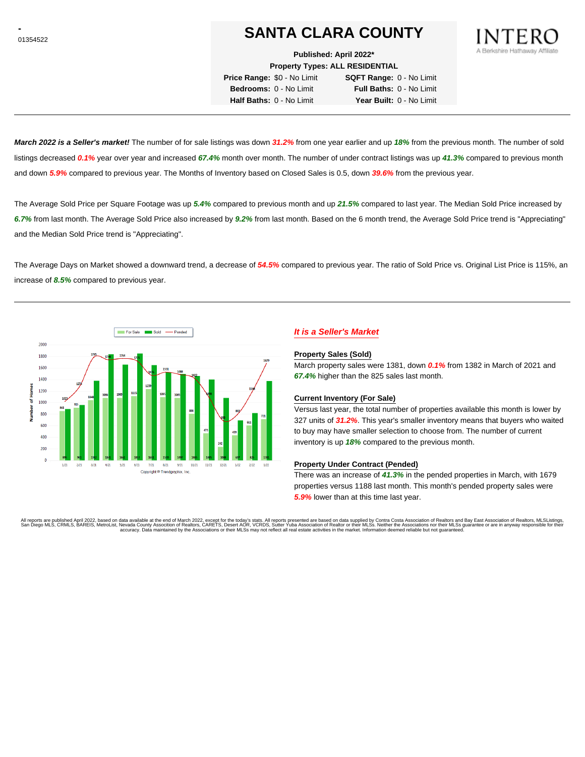# **SANTA CLARA COUNTY**

**Published: April 2022\***

**Property Types: ALL RESIDENTIAL**

**Price Range:** \$0 - No Limit **SQFT Range:** 0 - No Limit **Bedrooms:** 0 - No Limit **Full Baths:** 0 - No Limit **Half Baths:** 0 - No Limit **Year Built:** 0 - No Limit

**March 2022 is a Seller's market!** The number of for sale listings was down **31.2%** from one year earlier and up **18%** from the previous month. The number of sold listings decreased **0.1%** year over year and increased **67.4%** month over month. The number of under contract listings was up **41.3%** compared to previous month and down **5.9%** compared to previous year. The Months of Inventory based on Closed Sales is 0.5, down **39.6%** from the previous year.

The Average Sold Price per Square Footage was up **5.4%** compared to previous month and up **21.5%** compared to last year. The Median Sold Price increased by **6.7%** from last month. The Average Sold Price also increased by **9.2%** from last month. Based on the 6 month trend, the Average Sold Price trend is "Appreciating" and the Median Sold Price trend is "Appreciating".

The Average Days on Market showed a downward trend, a decrease of **54.5%** compared to previous year. The ratio of Sold Price vs. Original List Price is 115%, an increase of **8.5%** compared to previous year.



## **It is a Seller's Market**

#### **Property Sales (Sold)**

March property sales were 1381, down **0.1%** from 1382 in March of 2021 and **67.4%** higher than the 825 sales last month.

#### **Current Inventory (For Sale)**

Versus last year, the total number of properties available this month is lower by 327 units of **31.2%**. This year's smaller inventory means that buyers who waited to buy may have smaller selection to choose from. The number of current inventory is up **18%** compared to the previous month.

#### **Property Under Contract (Pended)**

There was an increase of **41.3%** in the pended properties in March, with 1679 properties versus 1188 last month. This month's pended property sales were **5.9%** lower than at this time last year.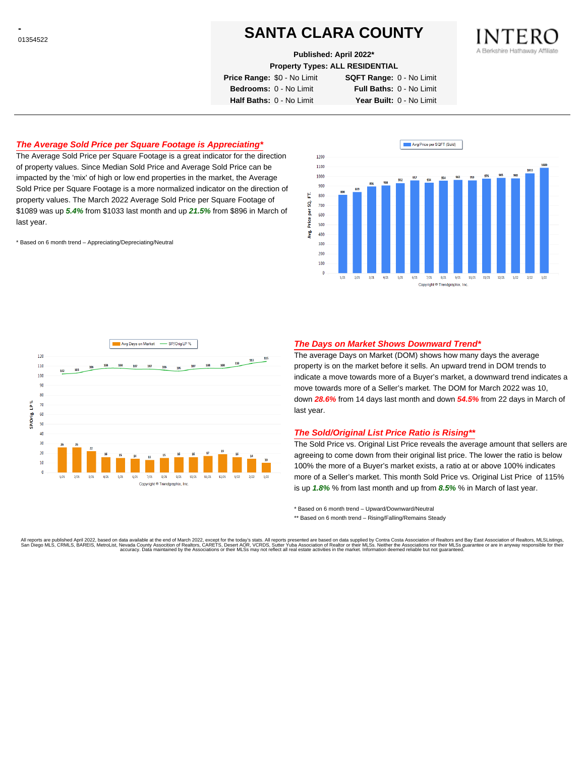# **SANTA CLARA COUNTY**

**Published: April 2022\***

**Property Types: ALL RESIDENTIAL**

**Price Range:** \$0 - No Limit **SQFT Range:** 0 - No Limit **Bedrooms:** 0 - No Limit **Full Baths:** 0 - No Limit **Half Baths:** 0 - No Limit **Year Built:** 0 - No Limit

# **The Average Sold Price per Square Footage is Appreciating\***

The Average Sold Price per Square Footage is a great indicator for the direction of property values. Since Median Sold Price and Average Sold Price can be impacted by the 'mix' of high or low end properties in the market, the Average Sold Price per Square Footage is a more normalized indicator on the direction of property values. The March 2022 Average Sold Price per Square Footage of \$1089 was up **5.4%** from \$1033 last month and up **21.5%** from \$896 in March of last year.

\* Based on 6 month trend – Appreciating/Depreciating/Neutral





## **The Days on Market Shows Downward Trend\***

The average Days on Market (DOM) shows how many days the average property is on the market before it sells. An upward trend in DOM trends to indicate a move towards more of a Buyer's market, a downward trend indicates a move towards more of a Seller's market. The DOM for March 2022 was 10, down **28.6%** from 14 days last month and down **54.5%** from 22 days in March of last year.

### **The Sold/Original List Price Ratio is Rising\*\***

The Sold Price vs. Original List Price reveals the average amount that sellers are agreeing to come down from their original list price. The lower the ratio is below 100% the more of a Buyer's market exists, a ratio at or above 100% indicates more of a Seller's market. This month Sold Price vs. Original List Price of 115% is up **1.8%** % from last month and up from **8.5%** % in March of last year.

\* Based on 6 month trend – Upward/Downward/Neutral

\*\* Based on 6 month trend - Rising/Falling/Remains Steady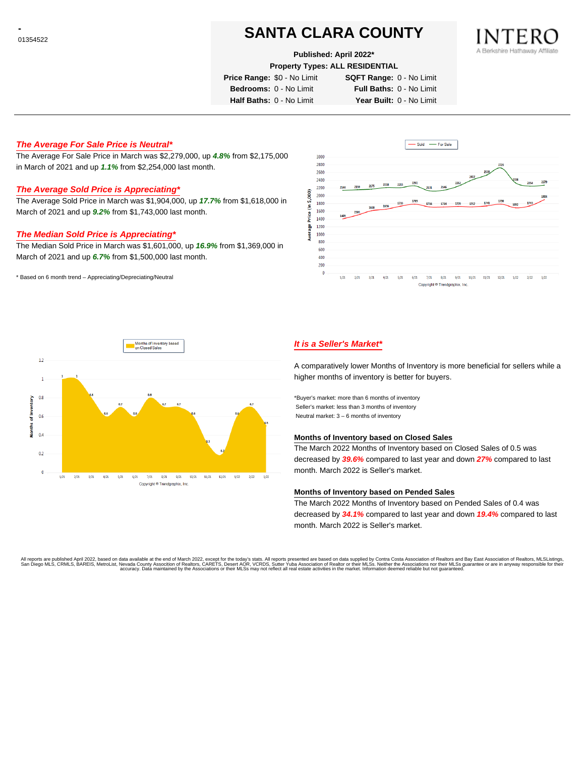# **SANTA CLARA COUNTY**

#### **Published: April 2022\***

**Property Types: ALL RESIDENTIAL**

**Price Range:** \$0 - No Limit **SQFT Range:** 0 - No Limit

**Bedrooms:** 0 - No Limit **Full Baths:** 0 - No Limit

**Half Baths:** 0 - No Limit **Year Built:** 0 - No Limit

## **The Average For Sale Price is Neutral\***

The Average For Sale Price in March was \$2,279,000, up **4.8%** from \$2,175,000 in March of 2021 and up **1.1%** from \$2,254,000 last month.

## **The Average Sold Price is Appreciating\***

The Average Sold Price in March was \$1,904,000, up **17.7%** from \$1,618,000 in March of 2021 and up **9.2%** from \$1,743,000 last month.

## **The Median Sold Price is Appreciating\***

The Median Sold Price in March was \$1,601,000, up **16.9%** from \$1,369,000 in March of 2021 and up **6.7%** from \$1,500,000 last month.

\* Based on 6 month trend – Appreciating/Depreciating/Neutral





## **It is a Seller's Market\***

A comparatively lower Months of Inventory is more beneficial for sellers while a higher months of inventory is better for buyers.

\*Buyer's market: more than 6 months of inventory Seller's market: less than 3 months of inventory Neutral market: 3 – 6 months of inventory

### **Months of Inventory based on Closed Sales**

The March 2022 Months of Inventory based on Closed Sales of 0.5 was decreased by **39.6%** compared to last year and down **27%** compared to last month. March 2022 is Seller's market.

### **Months of Inventory based on Pended Sales**

The March 2022 Months of Inventory based on Pended Sales of 0.4 was decreased by **34.1%** compared to last year and down **19.4%** compared to last month. March 2022 is Seller's market.